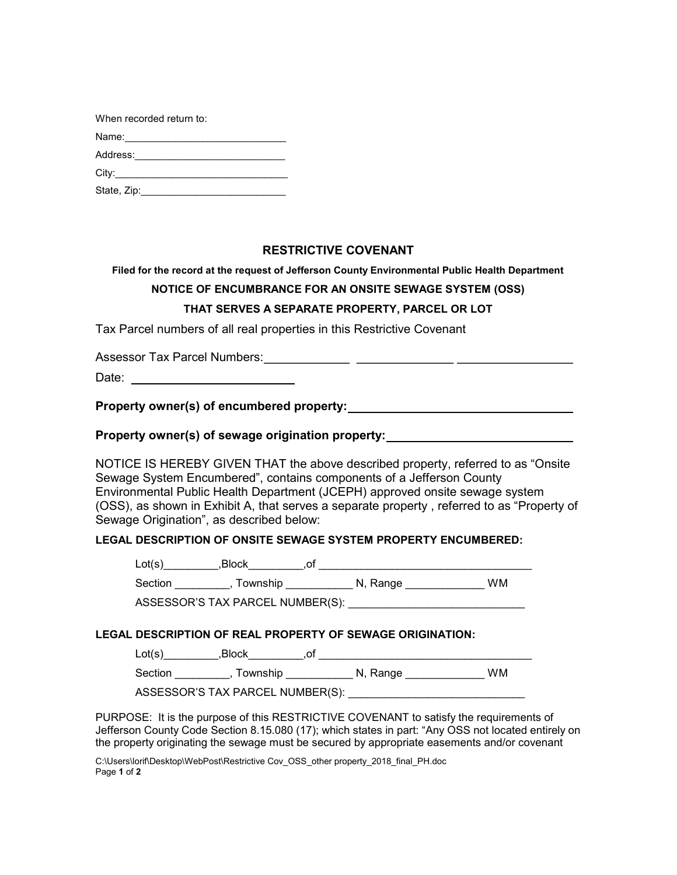| When recorded return to:                                                                                                                                                                                                       |
|--------------------------------------------------------------------------------------------------------------------------------------------------------------------------------------------------------------------------------|
| Name: with a state of the state of the state of the state of the state of the state of the state of the state of the state of the state of the state of the state of the state of the state of the state of the state of the s |
| Address:                                                                                                                                                                                                                       |
|                                                                                                                                                                                                                                |
| State, Zip:                                                                                                                                                                                                                    |

# RESTRICTIVE COVENANT

Filed for the record at the request of Jefferson County Environmental Public Health Department

## NOTICE OF ENCUMBRANCE FOR AN ONSITE SEWAGE SYSTEM (OSS)

### THAT SERVES A SEPARATE PROPERTY, PARCEL OR LOT

Tax Parcel numbers of all real properties in this Restrictive Covenant

Assessor Tax Parcel Numbers:

Date: **Date: Date: Date: Date: Date: Date: Date: Date: Date: Date: Date: Date: Date: Date: Date: Date: Date: Date: Date: Date: Date: Date: Date: Date: Date: Date: Date:**

Property owner(s) of encumbered property:

Property owner(s) of sewage origination property:

NOTICE IS HEREBY GIVEN THAT the above described property, referred to as "Onsite Sewage System Encumbered", contains components of a Jefferson County Environmental Public Health Department (JCEPH) approved onsite sewage system (OSS), as shown in Exhibit A, that serves a separate property , referred to as "Property of Sewage Origination", as described below:

### LEGAL DESCRIPTION OF ONSITE SEWAGE SYSTEM PROPERTY ENCUMBERED:

Lot(s)\_\_\_\_\_\_\_\_\_,Block\_\_\_\_\_\_\_\_\_,of \_\_\_\_\_\_\_\_\_\_\_\_\_\_\_\_\_\_\_\_\_\_\_\_\_\_\_\_\_\_\_\_\_\_\_

Section \_\_\_\_\_\_\_\_\_, Township \_\_\_\_\_\_\_\_\_\_\_ N, Range \_\_\_\_\_\_\_\_\_\_\_\_\_ WM

ASSESSOR'S TAX PARCEL NUMBER(S):

### LEGAL DESCRIPTION OF REAL PROPERTY OF SEWAGE ORIGINATION:

Lot(s)\_\_\_\_\_\_\_\_\_,Block\_\_\_\_\_\_\_\_\_,of \_\_\_\_\_\_\_\_\_\_\_\_\_\_\_\_\_\_\_\_\_\_\_\_\_\_\_\_\_\_\_\_\_\_\_

Section \_\_\_\_\_\_\_\_\_, Township \_\_\_\_\_\_\_\_\_\_\_ N, Range \_\_\_\_\_\_\_\_\_\_\_\_\_ WM

ASSESSOR'S TAX PARCEL NUMBER(S):

PURPOSE: It is the purpose of this RESTRICTIVE COVENANT to satisfy the requirements of Jefferson County Code Section 8.15.080 (17); which states in part: "Any OSS not located entirely on the property originating the sewage must be secured by appropriate easements and/or covenant

C:\Users\lorif\Desktop\WebPost\Restrictive Cov\_OSS\_other property\_2018\_final\_PH.doc Page 1 of 2